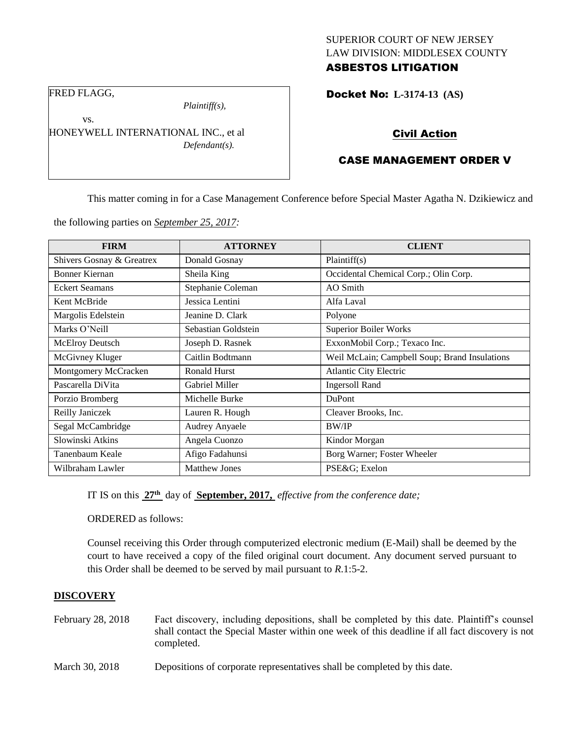# SUPERIOR COURT OF NEW JERSEY LAW DIVISION: MIDDLESEX COUNTY ASBESTOS LITIGATION

Docket No: **L-3174-13 (AS)** 

FRED FLAGG,

vs.

*Plaintiff(s),*

HONEYWELL INTERNATIONAL INC., et al *Defendant(s).*

# Civil Action

# CASE MANAGEMENT ORDER V

This matter coming in for a Case Management Conference before Special Master Agatha N. Dzikiewicz and

the following parties on *September 25, 2017:*

| <b>FIRM</b>               | <b>ATTORNEY</b>       | <b>CLIENT</b>                                 |  |
|---------------------------|-----------------------|-----------------------------------------------|--|
| Shivers Gosnay & Greatrex | Donald Gosnay         | Plaintiff(s)                                  |  |
| <b>Bonner Kiernan</b>     | Sheila King           | Occidental Chemical Corp.; Olin Corp.         |  |
| <b>Eckert Seamans</b>     | Stephanie Coleman     | AO Smith                                      |  |
| Kent McBride              | Jessica Lentini       | Alfa Laval                                    |  |
| Margolis Edelstein        | Jeanine D. Clark      | Polyone                                       |  |
| Marks O'Neill             | Sebastian Goldstein   | <b>Superior Boiler Works</b>                  |  |
| <b>McElroy Deutsch</b>    | Joseph D. Rasnek      | ExxonMobil Corp.; Texaco Inc.                 |  |
| McGivney Kluger           | Caitlin Bodtmann      | Weil McLain; Campbell Soup; Brand Insulations |  |
| Montgomery McCracken      | <b>Ronald Hurst</b>   | <b>Atlantic City Electric</b>                 |  |
| Pascarella DiVita         | <b>Gabriel Miller</b> | <b>Ingersoll Rand</b>                         |  |
| Porzio Bromberg           | Michelle Burke        | <b>DuPont</b>                                 |  |
| Reilly Janiczek           | Lauren R. Hough       | Cleaver Brooks, Inc.                          |  |
| Segal McCambridge         | <b>Audrey Anyaele</b> | <b>BW/IP</b>                                  |  |
| Slowinski Atkins          | Angela Cuonzo         | Kindor Morgan                                 |  |
| Tanenbaum Keale           | Afigo Fadahunsi       | Borg Warner; Foster Wheeler                   |  |
| Wilbraham Lawler          | <b>Matthew Jones</b>  | PSE&G Exelon                                  |  |

IT IS on this **27th** day of **September, 2017,** *effective from the conference date;*

ORDERED as follows:

Counsel receiving this Order through computerized electronic medium (E-Mail) shall be deemed by the court to have received a copy of the filed original court document. Any document served pursuant to this Order shall be deemed to be served by mail pursuant to *R*.1:5-2.

## **DISCOVERY**

- February 28, 2018 Fact discovery, including depositions, shall be completed by this date. Plaintiff's counsel shall contact the Special Master within one week of this deadline if all fact discovery is not completed.
- March 30, 2018 Depositions of corporate representatives shall be completed by this date.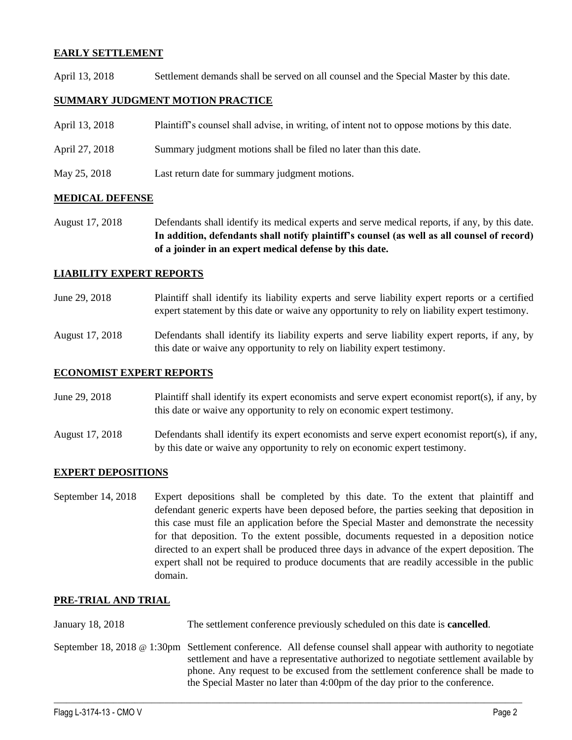## **EARLY SETTLEMENT**

April 13, 2018 Settlement demands shall be served on all counsel and the Special Master by this date.

## **SUMMARY JUDGMENT MOTION PRACTICE**

| April 13, 2018 | Plaintiff's counsel shall advise, in writing, of intent not to oppose motions by this date. |  |  |
|----------------|---------------------------------------------------------------------------------------------|--|--|
|                |                                                                                             |  |  |

- April 27, 2018 Summary judgment motions shall be filed no later than this date.
- May 25, 2018 Last return date for summary judgment motions.

#### **MEDICAL DEFENSE**

August 17, 2018 Defendants shall identify its medical experts and serve medical reports, if any, by this date. **In addition, defendants shall notify plaintiff's counsel (as well as all counsel of record) of a joinder in an expert medical defense by this date.**

## **LIABILITY EXPERT REPORTS**

- June 29, 2018 Plaintiff shall identify its liability experts and serve liability expert reports or a certified expert statement by this date or waive any opportunity to rely on liability expert testimony.
- August 17, 2018 Defendants shall identify its liability experts and serve liability expert reports, if any, by this date or waive any opportunity to rely on liability expert testimony.

#### **ECONOMIST EXPERT REPORTS**

- June 29, 2018 Plaintiff shall identify its expert economists and serve expert economist report(s), if any, by this date or waive any opportunity to rely on economic expert testimony.
- August 17, 2018 Defendants shall identify its expert economists and serve expert economist report(s), if any, by this date or waive any opportunity to rely on economic expert testimony.

## **EXPERT DEPOSITIONS**

September 14, 2018 Expert depositions shall be completed by this date. To the extent that plaintiff and defendant generic experts have been deposed before, the parties seeking that deposition in this case must file an application before the Special Master and demonstrate the necessity for that deposition. To the extent possible, documents requested in a deposition notice directed to an expert shall be produced three days in advance of the expert deposition. The expert shall not be required to produce documents that are readily accessible in the public domain.

#### **PRE-TRIAL AND TRIAL**

January 18, 2018 The settlement conference previously scheduled on this date is **cancelled**.

September 18, 2018 @ 1:30pm Settlement conference. All defense counsel shall appear with authority to negotiate settlement and have a representative authorized to negotiate settlement available by phone. Any request to be excused from the settlement conference shall be made to the Special Master no later than 4:00pm of the day prior to the conference.

 $\_$  ,  $\_$  ,  $\_$  ,  $\_$  ,  $\_$  ,  $\_$  ,  $\_$  ,  $\_$  ,  $\_$  ,  $\_$  ,  $\_$  ,  $\_$  ,  $\_$  ,  $\_$  ,  $\_$  ,  $\_$  ,  $\_$  ,  $\_$  ,  $\_$  ,  $\_$  ,  $\_$  ,  $\_$  ,  $\_$  ,  $\_$  ,  $\_$  ,  $\_$  ,  $\_$  ,  $\_$  ,  $\_$  ,  $\_$  ,  $\_$  ,  $\_$  ,  $\_$  ,  $\_$  ,  $\_$  ,  $\_$  ,  $\_$  ,